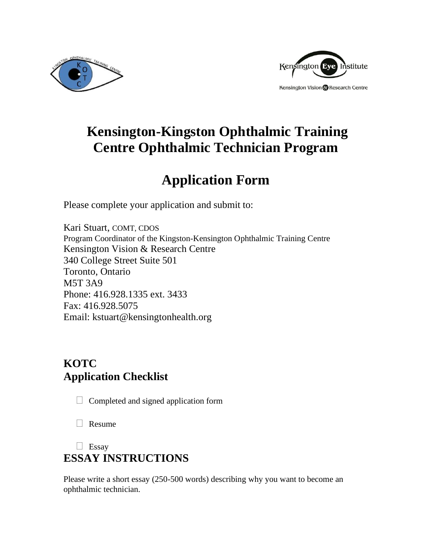



# **Kensington-Kingston Ophthalmic Training Centre Ophthalmic Technician Program**

# **Application Form**

Please complete your application and submit to:

Kari Stuart, COMT, CDOS Program Coordinator of the Kingston-Kensington Ophthalmic Training Centre Kensington Vision & Research Centre 340 College Street Suite 501 Toronto, Ontario M5T 3A9 Phone: 416.928.1335 ext. 3433 Fax: 416.928.5075 Email: kstuart@kensingtonhealth.org

## **KOTC Application Checklist**

 $\Box$  Completed and signed application form

 $\Box$  Resume

### $\Box$  Essay

## **ESSAY INSTRUCTIONS**

Please write a short essay (250-500 words) describing why you want to become an ophthalmic technician.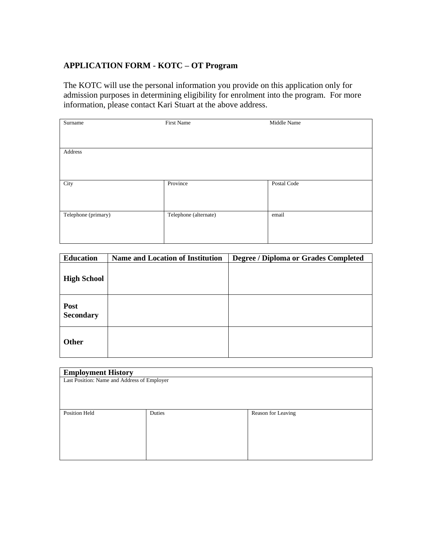### **APPLICATION FORM - KOTC – OT Program**

The KOTC will use the personal information you provide on this application only for admission purposes in determining eligibility for enrolment into the program. For more information, please contact Kari Stuart at the above address.

| Surname             | <b>First Name</b>     | Middle Name |
|---------------------|-----------------------|-------------|
|                     |                       |             |
|                     |                       |             |
| Address             |                       |             |
|                     |                       |             |
|                     |                       |             |
| City                | Province              | Postal Code |
|                     |                       |             |
|                     |                       |             |
| Telephone (primary) | Telephone (alternate) | email       |
|                     |                       |             |
|                     |                       |             |

| <b>Education</b>         | <b>Name and Location of Institution</b> | Degree / Diploma or Grades Completed |
|--------------------------|-----------------------------------------|--------------------------------------|
| <b>High School</b>       |                                         |                                      |
| Post<br><b>Secondary</b> |                                         |                                      |
| Other                    |                                         |                                      |

| <b>Employment History</b>                   |        |                    |  |  |  |
|---------------------------------------------|--------|--------------------|--|--|--|
| Last Position: Name and Address of Employer |        |                    |  |  |  |
|                                             |        |                    |  |  |  |
|                                             |        |                    |  |  |  |
|                                             |        |                    |  |  |  |
| Position Held                               | Duties | Reason for Leaving |  |  |  |
|                                             |        |                    |  |  |  |
|                                             |        |                    |  |  |  |
|                                             |        |                    |  |  |  |
|                                             |        |                    |  |  |  |
|                                             |        |                    |  |  |  |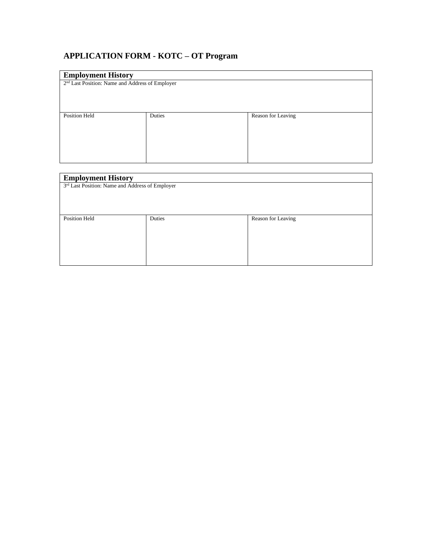### **APPLICATION FORM - KOTC – OT Program**

| <b>Employment History</b>                                   |        |                    |  |  |
|-------------------------------------------------------------|--------|--------------------|--|--|
| 2 <sup>nd</sup> Last Position: Name and Address of Employer |        |                    |  |  |
|                                                             |        |                    |  |  |
|                                                             |        |                    |  |  |
|                                                             |        |                    |  |  |
| Position Held                                               | Duties | Reason for Leaving |  |  |
|                                                             |        |                    |  |  |
|                                                             |        |                    |  |  |
|                                                             |        |                    |  |  |
|                                                             |        |                    |  |  |
|                                                             |        |                    |  |  |

| <b>Employment History</b>                       |        |                    |  |  |
|-------------------------------------------------|--------|--------------------|--|--|
| 3rd Last Position: Name and Address of Employer |        |                    |  |  |
|                                                 |        |                    |  |  |
|                                                 |        |                    |  |  |
|                                                 |        |                    |  |  |
| Position Held                                   | Duties | Reason for Leaving |  |  |
|                                                 |        |                    |  |  |
|                                                 |        |                    |  |  |
|                                                 |        |                    |  |  |
|                                                 |        |                    |  |  |
|                                                 |        |                    |  |  |